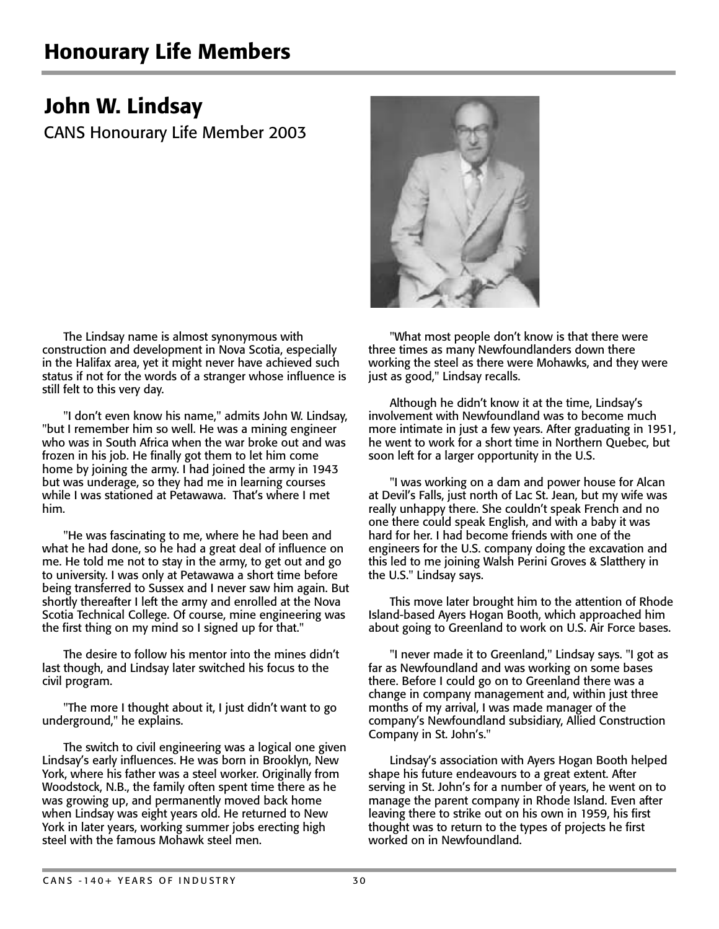## John W. Lindsay

CANS Honourary Life Member 2003

The Lindsay name is almost synonymous with construction and development in Nova Scotia, especially in the Halifax area, yet it might never have achieved such status if not for the words of a stranger whose influence is still felt to this very day.

"I don't even know his name," admits John W. Lindsay, "but I remember him so well. He was a mining engineer who was in South Africa when the war broke out and was frozen in his job. He finally got them to let him come home by joining the army. I had joined the army in 1943 but was underage, so they had me in learning courses while I was stationed at Petawawa. That's where I met him.

"He was fascinating to me, where he had been and what he had done, so he had a great deal of influence on me. He told me not to stay in the army, to get out and go to university. I was only at Petawawa a short time before being transferred to Sussex and I never saw him again. But shortly thereafter I left the army and enrolled at the Nova Scotia Technical College. Of course, mine engineering was the first thing on my mind so I signed up for that."

The desire to follow his mentor into the mines didn't last though, and Lindsay later switched his focus to the civil program.

"The more I thought about it, I just didn't want to go underground," he explains.

The switch to civil engineering was a logical one given Lindsay's early influences. He was born in Brooklyn, New York, where his father was a steel worker. Originally from Woodstock, N.B., the family often spent time there as he was growing up, and permanently moved back home when Lindsay was eight years old. He returned to New York in later years, working summer jobs erecting high steel with the famous Mohawk steel men.



"What most people don't know is that there were three times as many Newfoundlanders down there working the steel as there were Mohawks, and they were just as good," Lindsay recalls.

Although he didn't know it at the time, Lindsay's involvement with Newfoundland was to become much more intimate in just a few years. After graduating in 1951, he went to work for a short time in Northern Quebec, but soon left for a larger opportunity in the U.S.

"I was working on a dam and power house for Alcan at Devil's Falls, just north of Lac St. Jean, but my wife was really unhappy there. She couldn't speak French and no one there could speak English, and with a baby it was hard for her. I had become friends with one of the engineers for the U.S. company doing the excavation and this led to me joining Walsh Perini Groves & Slatthery in the U.S." Lindsay says.

This move later brought him to the attention of Rhode Island-based Ayers Hogan Booth, which approached him about going to Greenland to work on U.S. Air Force bases.

"I never made it to Greenland," Lindsay says. "I got as far as Newfoundland and was working on some bases there. Before I could go on to Greenland there was a change in company management and, within just three months of my arrival, I was made manager of the company's Newfoundland subsidiary, Allied Construction Company in St. John's."

Lindsay's association with Ayers Hogan Booth helped shape his future endeavours to a great extent. After serving in St. John's for a number of years, he went on to manage the parent company in Rhode Island. Even after leaving there to strike out on his own in 1959, his first thought was to return to the types of projects he first worked on in Newfoundland.